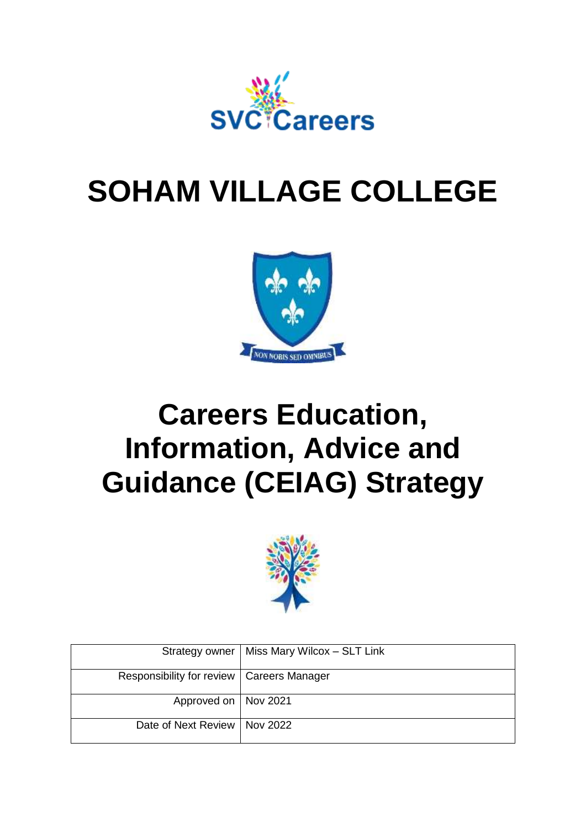

# **SOHAM VILLAGE COLLEGE**



# **Careers Education, Information, Advice and Guidance (CEIAG) Strategy**



|                                             | Strategy owner   Miss Mary Wilcox – SLT Link |
|---------------------------------------------|----------------------------------------------|
| Responsibility for review   Careers Manager |                                              |
| Approved on   Nov 2021                      |                                              |
| Date of Next Review   Nov 2022              |                                              |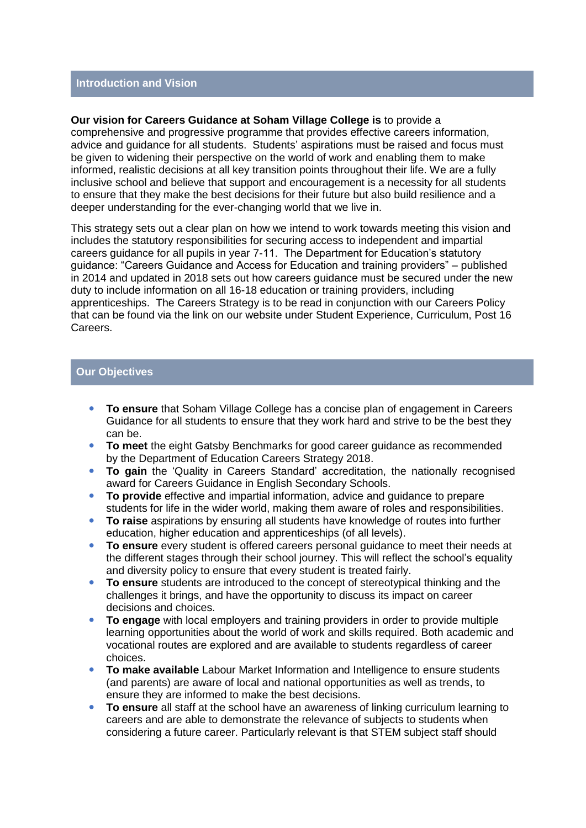#### **Introduction and Vision**

#### **Our vision for Careers Guidance at Soham Village College is** to provide a

comprehensive and progressive programme that provides effective careers information, advice and guidance for all students. Students' aspirations must be raised and focus must be given to widening their perspective on the world of work and enabling them to make informed, realistic decisions at all key transition points throughout their life. We are a fully inclusive school and believe that support and encouragement is a necessity for all students to ensure that they make the best decisions for their future but also build resilience and a deeper understanding for the ever-changing world that we live in.

This strategy sets out a clear plan on how we intend to work towards meeting this vision and includes the statutory responsibilities for securing access to independent and impartial careers guidance for all pupils in year 7-11. The Department for Education's statutory guidance: "Careers Guidance and Access for Education and training providers" – published in 2014 and updated in 2018 sets out how careers guidance must be secured under the new duty to include information on all 16-18 education or training providers, including apprenticeships. The Careers Strategy is to be read in conjunction with our Careers Policy that can be found via the link on our website under Student Experience, Curriculum, Post 16 Careers.

## **Our Objectives**

- **To ensure** that Soham Village College has a concise plan of engagement in Careers Guidance for all students to ensure that they work hard and strive to be the best they can be.
- **To meet** the eight Gatsby Benchmarks for good career guidance as recommended by the Department of Education Careers Strategy 2018.
- **To gain** the 'Quality in Careers Standard' accreditation, the nationally recognised award for Careers Guidance in English Secondary Schools.
- **To provide** effective and impartial information, advice and guidance to prepare students for life in the wider world, making them aware of roles and responsibilities.
- **To raise** aspirations by ensuring all students have knowledge of routes into further education, higher education and apprenticeships (of all levels).
- **To ensure** every student is offered careers personal guidance to meet their needs at the different stages through their school journey. This will reflect the school's equality and diversity policy to ensure that every student is treated fairly.
- **To ensure** students are introduced to the concept of stereotypical thinking and the challenges it brings, and have the opportunity to discuss its impact on career decisions and choices.
- **To engage** with local employers and training providers in order to provide multiple learning opportunities about the world of work and skills required. Both academic and vocational routes are explored and are available to students regardless of career choices.
- **To make available** Labour Market Information and Intelligence to ensure students (and parents) are aware of local and national opportunities as well as trends, to ensure they are informed to make the best decisions.
- **To ensure** all staff at the school have an awareness of linking curriculum learning to careers and are able to demonstrate the relevance of subjects to students when considering a future career. Particularly relevant is that STEM subject staff should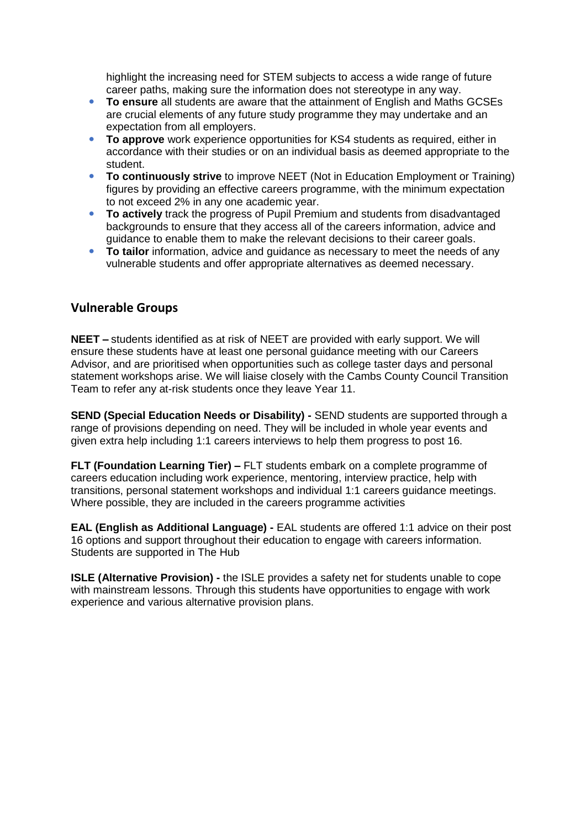highlight the increasing need for STEM subjects to access a wide range of future career paths, making sure the information does not stereotype in any way.

- **To ensure** all students are aware that the attainment of English and Maths GCSEs are crucial elements of any future study programme they may undertake and an expectation from all employers.
- **To approve** work experience opportunities for KS4 students as required, either in accordance with their studies or on an individual basis as deemed appropriate to the student.
- **To continuously strive** to improve NEET (Not in Education Employment or Training) figures by providing an effective careers programme, with the minimum expectation to not exceed 2% in any one academic year.
- **To actively** track the progress of Pupil Premium and students from disadvantaged backgrounds to ensure that they access all of the careers information, advice and guidance to enable them to make the relevant decisions to their career goals.
- **To tailor** information, advice and guidance as necessary to meet the needs of any vulnerable students and offer appropriate alternatives as deemed necessary.

# **Vulnerable Groups**

**NEET –** students identified as at risk of NEET are provided with early support. We will ensure these students have at least one personal guidance meeting with our Careers Advisor, and are prioritised when opportunities such as college taster days and personal statement workshops arise. We will liaise closely with the Cambs County Council Transition Team to refer any at-risk students once they leave Year 11.

**SEND (Special Education Needs or Disability) -** SEND students are supported through a range of provisions depending on need. They will be included in whole year events and given extra help including 1:1 careers interviews to help them progress to post 16.

**FLT (Foundation Learning Tier) –** FLT students embark on a complete programme of careers education including work experience, mentoring, interview practice, help with transitions, personal statement workshops and individual 1:1 careers guidance meetings. Where possible, they are included in the careers programme activities

**EAL (English as Additional Language) -** EAL students are offered 1:1 advice on their post 16 options and support throughout their education to engage with careers information. Students are supported in The Hub

**ISLE (Alternative Provision) -** the ISLE provides a safety net for students unable to cope with mainstream lessons. Through this students have opportunities to engage with work experience and various alternative provision plans.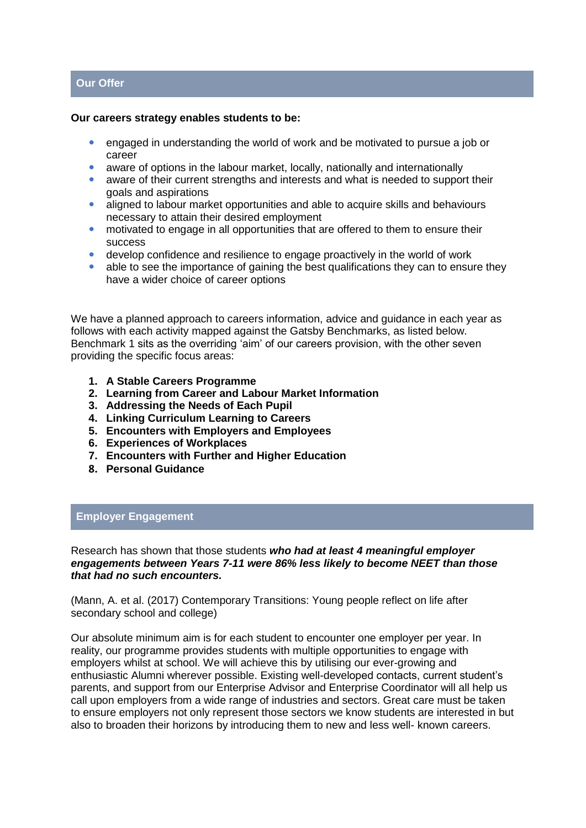## **Our Offer**

#### **Our careers strategy enables students to be:**

- engaged in understanding the world of work and be motivated to pursue a job or career
- aware of options in the labour market, locally, nationally and internationally
- aware of their current strengths and interests and what is needed to support their goals and aspirations
- aligned to labour market opportunities and able to acquire skills and behaviours necessary to attain their desired employment
- **•** motivated to engage in all opportunities that are offered to them to ensure their success
- develop confidence and resilience to engage proactively in the world of work
- able to see the importance of gaining the best qualifications they can to ensure they have a wider choice of career options

We have a planned approach to careers information, advice and guidance in each year as follows with each activity mapped against the Gatsby Benchmarks, as listed below. Benchmark 1 sits as the overriding 'aim' of our careers provision, with the other seven providing the specific focus areas:

- **1. A Stable Careers Programme**
- **2. Learning from Career and Labour Market Information**
- **3. Addressing the Needs of Each Pupil**
- **4. Linking Curriculum Learning to Careers**
- **5. Encounters with Employers and Employees**
- **6. Experiences of Workplaces**
- **7. Encounters with Further and Higher Education**
- **8. Personal Guidance**

## **Employer Engagement**

Research has shown that those students *who had at least 4 meaningful employer engagements between Years 7-11 were 86% less likely to become NEET than those that had no such encounters.* 

(Mann, A. et al. (2017) Contemporary Transitions: Young people reflect on life after secondary school and college)

Our absolute minimum aim is for each student to encounter one employer per year. In reality, our programme provides students with multiple opportunities to engage with employers whilst at school. We will achieve this by utilising our ever-growing and enthusiastic Alumni wherever possible. Existing well-developed contacts, current student's parents, and support from our Enterprise Advisor and Enterprise Coordinator will all help us call upon employers from a wide range of industries and sectors. Great care must be taken to ensure employers not only represent those sectors we know students are interested in but also to broaden their horizons by introducing them to new and less well- known careers.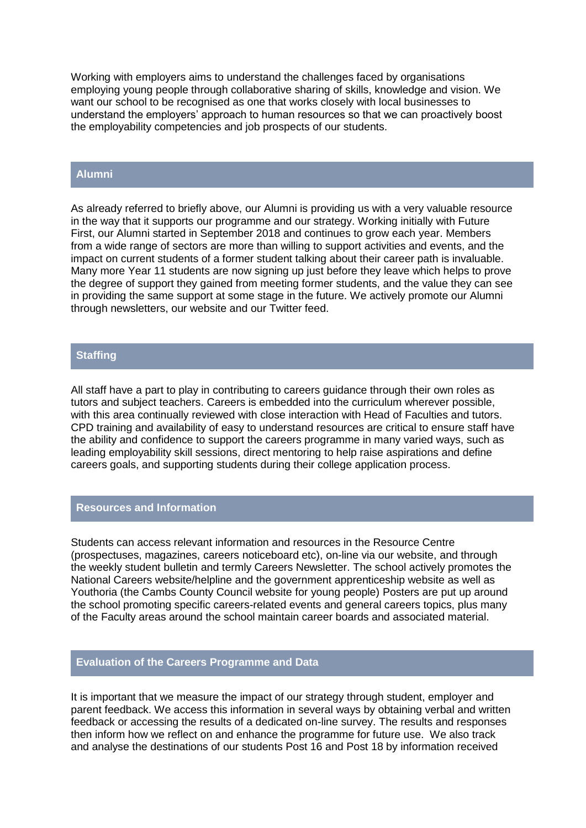Working with employers aims to understand the challenges faced by organisations employing young people through collaborative sharing of skills, knowledge and vision. We want our school to be recognised as one that works closely with local businesses to understand the employers' approach to human resources so that we can proactively boost the employability competencies and job prospects of our students.

## **Alumni**

As already referred to briefly above, our Alumni is providing us with a very valuable resource in the way that it supports our programme and our strategy. Working initially with Future First, our Alumni started in September 2018 and continues to grow each year. Members from a wide range of sectors are more than willing to support activities and events, and the impact on current students of a former student talking about their career path is invaluable. Many more Year 11 students are now signing up just before they leave which helps to prove the degree of support they gained from meeting former students, and the value they can see in providing the same support at some stage in the future. We actively promote our Alumni through newsletters, our website and our Twitter feed.

### **Staffing**

All staff have a part to play in contributing to careers guidance through their own roles as tutors and subject teachers. Careers is embedded into the curriculum wherever possible, with this area continually reviewed with close interaction with Head of Faculties and tutors. CPD training and availability of easy to understand resources are critical to ensure staff have the ability and confidence to support the careers programme in many varied ways, such as leading employability skill sessions, direct mentoring to help raise aspirations and define careers goals, and supporting students during their college application process.

### **Resources and Information**

Students can access relevant information and resources in the Resource Centre (prospectuses, magazines, careers noticeboard etc), on-line via our website, and through the weekly student bulletin and termly Careers Newsletter. The school actively promotes the National Careers website/helpline and the government apprenticeship website as well as Youthoria (the Cambs County Council website for young people) Posters are put up around the school promoting specific careers-related events and general careers topics, plus many of the Faculty areas around the school maintain career boards and associated material.

#### **Evaluation of the Careers Programme and Data**

It is important that we measure the impact of our strategy through student, employer and parent feedback. We access this information in several ways by obtaining verbal and written feedback or accessing the results of a dedicated on-line survey. The results and responses then inform how we reflect on and enhance the programme for future use. We also track and analyse the destinations of our students Post 16 and Post 18 by information received